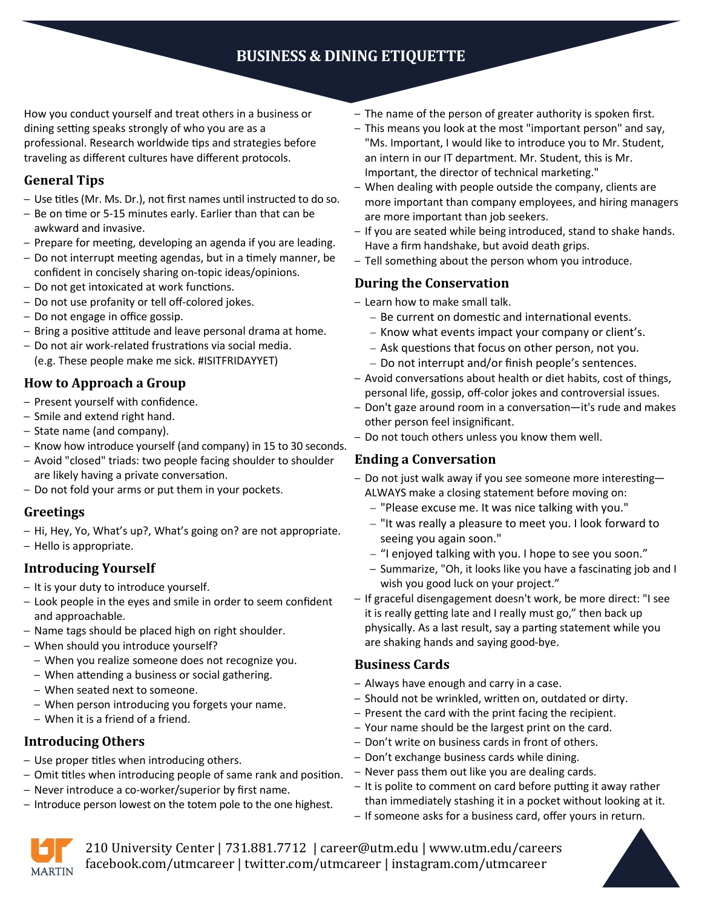# **BUSINESS & DINING ETIQUETTE**

How you conduct yourself and treat others in a business or dining setting speaks strongly of who you are as a professional. Research worldwide tips and strategies before traveling as different cultures have different protocols.

# **General Tips**

- Use titles (Mr. Ms. Dr.), not first names until instructed to do so.
- Be on time or 5-15 minutes early. Earlier than that can be awkward and invasive.
- Prepare for meeting, developing an agenda if you are leading.
- Do not interrupt meeting agendas, but in a timely manner, be confident in concisely sharing on-topic ideas/opinions.
- Do not get intoxicated at work functions.
- Do not use profanity or tell off-colored jokes.
- Do not engage in office gossip.
- Bring a positive attitude and leave personal drama at home.
- Do not air work-related frustrations via social media. (e.g. These people make me sick. #ISITFRIDAYYET)

# **How to Approach a Group**

- Present yourself with confidence.
- Smile and extend right hand.
- State name (and company).
- Know how introduce yourself (and company) in 15 to 30 seconds.
- Avoid "closed" triads: two people facing shoulder to shoulder are likely having a private conversation.
- Do not fold your arms or put them in your pockets.

## **Greetings**

– Hi, Hey, Yo, What's up?, What's going on? are not appropriate. – Hello is appropriate.

# **Introducing Yourself**

- It is your duty to introduce yourself.
- Look people in the eyes and smile in order to seem confident and approachable.
- Name tags should be placed high on right shoulder.
- When should you introduce yourself?
	- When you realize someone does not recognize you.
	- When attending a business or social gathering.
	- When seated next to someone.
	- When person introducing you forgets your name.
	- When it is a friend of a friend.

# **Introducing Others**

- Use proper titles when introducing others.
- Omit titles when introducing people of same rank and position.
- Never introduce a co-worker/superior by first name.
- Introduce person lowest on the totem pole to the one highest.
- The name of the person of greater authority is spoken first.
- This means you look at the most "important person" and say, "Ms. Important, I would like to introduce you to Mr. Student, an intern in our IT department. Mr. Student, this is Mr. Important, the director of technical marketing."
- When dealing with people outside the company, clients are more important than company employees, and hiring managers are more important than job seekers.
- If you are seated while being introduced, stand to shake hands. Have a firm handshake, but avoid death grips.
- Tell something about the person whom you introduce.

## **During the Conservation**

- Learn how to make small talk.
	- Be current on domestic and international events.
	- Know what events impact your company or client's.
	- Ask questions that focus on other person, not you.
	- Do not interrupt and/or finish people's sentences.
- Avoid conversations about health or diet habits, cost of things, personal life, gossip, off-color jokes and controversial issues.
- Don't gaze around room in a conversation—it's rude and makes other person feel insignificant.
- Do not touch others unless you know them well.

# **Ending a Conversation**

- Do not just walk away if you see someone more interesting— ALWAYS make a closing statement before moving on:
	- "Please excuse me. It was nice talking with you."
	- "It was really a pleasure to meet you. I look forward to seeing you again soon."
	- "I enjoyed talking with you. I hope to see you soon."
	- Summarize, "Oh, it looks like you have a fascinating job and I wish you good luck on your project."
- If graceful disengagement doesn't work, be more direct: "I see it is really getting late and I really must go," then back up physically. As a last result, say a parting statement while you are shaking hands and saying good-bye.

## **Business Cards**

- Always have enough and carry in a case.
- Should not be wrinkled, written on, outdated or dirty.
- Present the card with the print facing the recipient.
- Your name should be the largest print on the card.
- Don't write on business cards in front of others.
- Don't exchange business cards while dining.
- Never pass them out like you are dealing cards.
- It is polite to comment on card before putting it away rather than immediately stashing it in a pocket without looking at it.
- If someone asks for a business card, offer yours in return.



210 University Center | 731.881.7712 | career@utm.edu | www.utm.edu/careers facebook.com/utmcareer | twitter.com/utmcareer | instagram.com/utmcareer